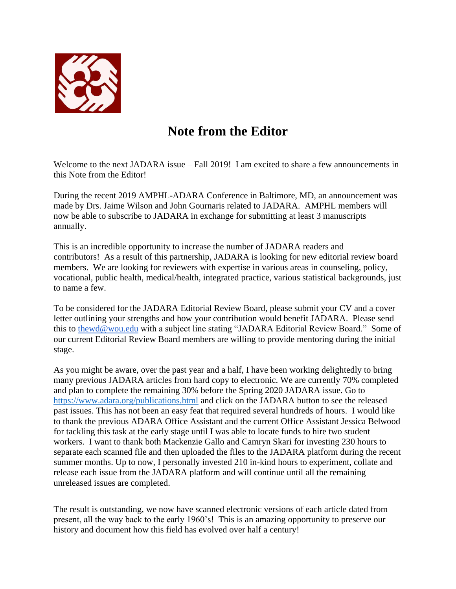

## **Note from the Editor**

Welcome to the next JADARA issue – Fall 2019! I am excited to share a few announcements in this Note from the Editor!

During the recent 2019 AMPHL-ADARA Conference in Baltimore, MD, an announcement was made by Drs. Jaime Wilson and John Gournaris related to JADARA. AMPHL members will now be able to subscribe to JADARA in exchange for submitting at least 3 manuscripts annually.

This is an incredible opportunity to increase the number of JADARA readers and contributors! As a result of this partnership, JADARA is looking for new editorial review board members. We are looking for reviewers with expertise in various areas in counseling, policy, vocational, public health, medical/health, integrated practice, various statistical backgrounds, just to name a few.

To be considered for the JADARA Editorial Review Board, please submit your CV and a cover letter outlining your strengths and how your contribution would benefit JADARA. Please send this to [thewd@wou.edu](mailto:thewd@wou.edu) with a subject line stating "JADARA Editorial Review Board." Some of our current Editorial Review Board members are willing to provide mentoring during the initial stage.

As you might be aware, over the past year and a half, I have been working delightedly to bring many previous JADARA articles from hard copy to electronic. We are currently 70% completed and plan to complete the remaining 30% before the Spring 2020 JADARA issue. Go to <https://www.adara.org/publications.html> and click on the JADARA button to see the released past issues. This has not been an easy feat that required several hundreds of hours. I would like to thank the previous ADARA Office Assistant and the current Office Assistant Jessica Belwood for tackling this task at the early stage until I was able to locate funds to hire two student workers. I want to thank both Mackenzie Gallo and Camryn Skari for investing 230 hours to separate each scanned file and then uploaded the files to the JADARA platform during the recent summer months. Up to now, I personally invested 210 in-kind hours to experiment, collate and release each issue from the JADARA platform and will continue until all the remaining unreleased issues are completed.

The result is outstanding, we now have scanned electronic versions of each article dated from present, all the way back to the early 1960's! This is an amazing opportunity to preserve our history and document how this field has evolved over half a century!